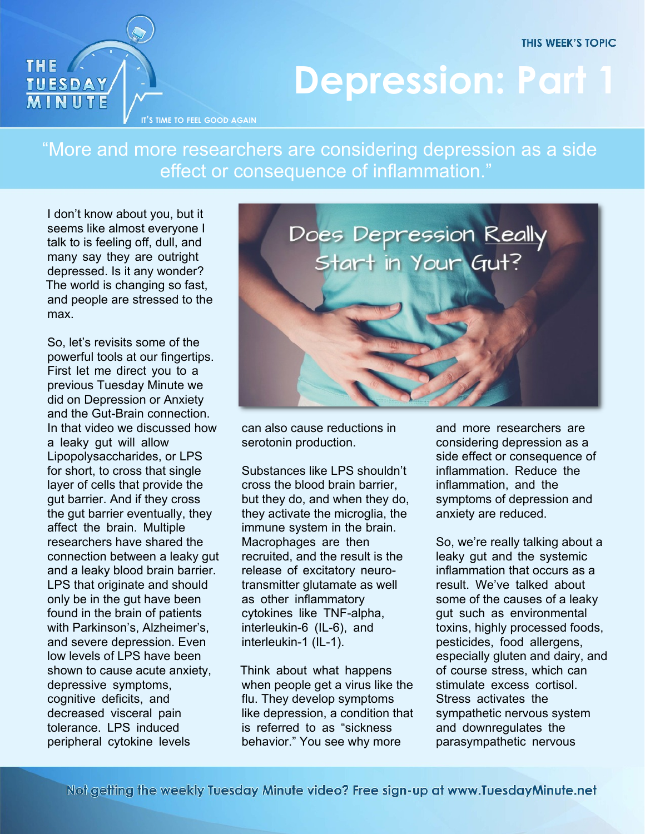**THIS WEEK'S TOPIC** 



## **Depression: Part 1**

"More and more researchers are considering depression as a side effect or consequence of inflammation."

I don't know about you, but it seems like almost everyone I talk to is feeling off, dull, and many say they are outright depressed. Is it any wonder? The world is changing so fast, and people are stressed to the max.

So, let's revisits some of the powerful tools at our fingertips. First let me direct you to a previous Tuesday Minute we did on Depression or Anxiety and the Gut-Brain connection. In that video we discussed how a leaky gut will allow Lipopolysaccharides, or LPS for short, to cross that single layer of cells that provide the gut barrier. And if they cross the gut barrier eventually, they affect the brain. Multiple researchers have shared the connection between a leaky gut and a leaky blood brain barrier. LPS that originate and should only be in the gut have been found in the brain of patients with Parkinson's, Alzheimer's, and severe depression. Even low levels of LPS have been shown to cause acute anxiety, depressive symptoms, cognitive deficits, and decreased visceral pain tolerance. LPS induced peripheral cytokine levels



can also cause reductions in serotonin production.

Substances like LPS shouldn't cross the blood brain barrier, but they do, and when they do, they activate the microglia, the immune system in the brain. Macrophages are then recruited, and the result is the release of excitatory neurotransmitter glutamate as well as other inflammatory cytokines like TNF-alpha, interleukin-6 (IL-6), and interleukin-1 (IL-1).

Think about what happens when people get a virus like the flu. They develop symptoms like depression, a condition that is referred to as "sickness behavior." You see why more

and more researchers are considering depression as a side effect or consequence of inflammation. Reduce the inflammation, and the symptoms of depression and anxiety are reduced.

So, we're really talking about a leaky gut and the systemic inflammation that occurs as a result. We've talked about some of the causes of a leaky gut such as environmental toxins, highly processed foods, pesticides, food allergens, especially gluten and dairy, and of course stress, which can stimulate excess cortisol. Stress activates the sympathetic nervous system and downregulates the parasympathetic nervous